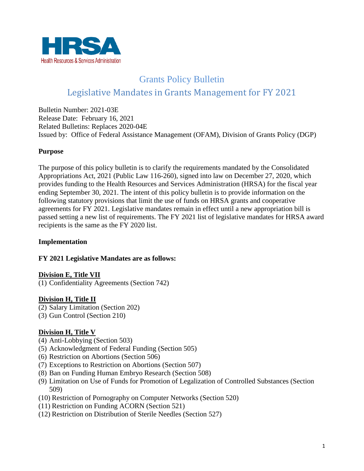

# Grants Policy Bulletin Legislative Mandates in Grants Management for FY 2021

Bulletin Number: 2021-03E Release Date: February 16, 2021 Related Bulletins: Replaces 2020-04E Issued by: Office of Federal Assistance Management (OFAM), Division of Grants Policy (DGP)

## **Purpose**

The purpose of this policy bulletin is to clarify the requirements mandated by the Consolidated Appropriations Act, 2021 (Public Law 116-260), signed into law on December 27, 2020, which provides funding to the Health Resources and Services Administration (HRSA) for the fiscal year ending September 30, 2021. The intent of this policy bulletin is to provide information on the following statutory provisions that limit the use of funds on HRSA grants and cooperative agreements for FY 2021. Legislative mandates remain in effect until a new appropriation bill is passed setting a new list of requirements. The FY 2021 list of legislative mandates for HRSA award recipients is the same as the FY 2020 list.

## **Implementation**

#### **FY 2021 Legislative Mandates are as follows:**

#### **Division E, Title VII**

(1) Confidentiality Agreements (Section 742)

#### **Division H, Title II**

- (2) Salary Limitation (Section 202)
- (3) Gun Control (Section 210)

## **Division H, Title V**

- (4) Anti-Lobbying (Section 503)
- (5) Acknowledgment of Federal Funding (Section 505)
- (6) Restriction on Abortions (Section 506)
- (7) Exceptions to Restriction on Abortions (Section 507)
- (8) Ban on Funding Human Embryo Research (Section 508)
- (9) Limitation on Use of Funds for Promotion of Legalization of Controlled Substances (Section 509)
- (10) Restriction of Pornography on Computer Networks (Section 520)
- (11) Restriction on Funding ACORN (Section 521)
- (12) Restriction on Distribution of Sterile Needles (Section 527)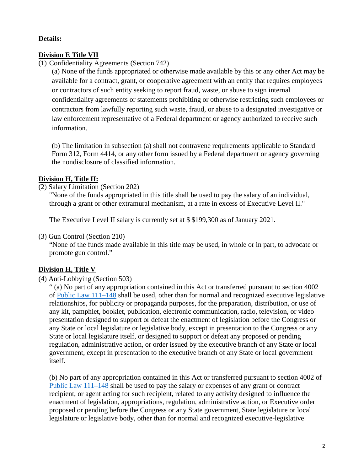## **Details:**

## **Division E Title VII**

(1) Confidentiality Agreements (Section 742)

(a) None of the funds appropriated or otherwise made available by this or any other Act may be available for a contract, grant, or cooperative agreement with an entity that requires employees or contractors of such entity seeking to report fraud, waste, or abuse to sign internal confidentiality agreements or statements prohibiting or otherwise restricting such employees or contractors from lawfully reporting such waste, fraud, or abuse to a designated investigative or law enforcement representative of a Federal department or agency authorized to receive such information.

(b) The limitation in subsection (a) shall not contravene requirements applicable to Standard Form 312, Form 4414, or any other form issued by a Federal department or agency governing the nondisclosure of classified information.

## **Division H, Title II:**

#### (2) Salary Limitation (Section 202)

"None of the funds appropriated in this title shall be used to pay the salary of an individual, through a grant or other extramural mechanism, at a rate in excess of Executive Level II."

The Executive Level II salary is currently set at \$ \$199,300 as of January 2021.

#### (3) Gun Control (Section 210)

"None of the funds made available in this title may be used, in whole or in part, to advocate or promote gun control."

#### **Division H, Title V**

## (4) Anti-Lobbying (Section 503)

" (a) No part of any appropriation contained in this Act or transferred pursuant to section 4002 of [Public Law 111–148](https://www.govinfo.gov/content/pkg/PLAW-111publ148/pdf/PLAW-111publ148.pdf) shall be used, other than for normal and recognized executive legislative relationships, for publicity or propaganda purposes, for the preparation, distribution, or use of any kit, pamphlet, booklet, publication, electronic communication, radio, television, or video presentation designed to support or defeat the enactment of legislation before the Congress or any State or local legislature or legislative body, except in presentation to the Congress or any State or local legislature itself, or designed to support or defeat any proposed or pending regulation, administrative action, or order issued by the executive branch of any State or local government, except in presentation to the executive branch of any State or local government itself.

(b) No part of any appropriation contained in this Act or transferred pursuant to section 4002 of [Public Law 111–148](https://www.govinfo.gov/content/pkg/PLAW-111publ148/pdf/PLAW-111publ148.pdf) shall be used to pay the salary or expenses of any grant or contract recipient, or agent acting for such recipient, related to any activity designed to influence the enactment of legislation, appropriations, regulation, administrative action, or Executive order proposed or pending before the Congress or any State government, State legislature or local legislature or legislative body, other than for normal and recognized executive-legislative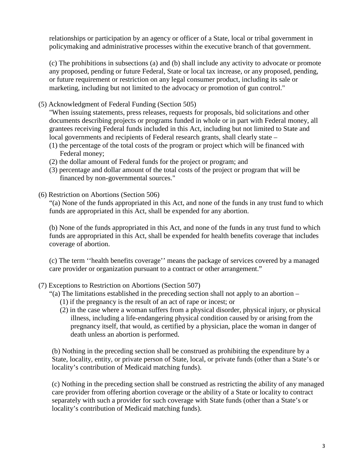relationships or participation by an agency or officer of a State, local or tribal government in policymaking and administrative processes within the executive branch of that government.

(c) The prohibitions in subsections (a) and (b) shall include any activity to advocate or promote any proposed, pending or future Federal, State or local tax increase, or any proposed, pending, or future requirement or restriction on any legal consumer product, including its sale or marketing, including but not limited to the advocacy or promotion of gun control."

(5) Acknowledgment of Federal Funding (Section 505)

"When issuing statements, press releases, requests for proposals, bid solicitations and other documents describing projects or programs funded in whole or in part with Federal money, all grantees receiving Federal funds included in this Act, including but not limited to State and local governments and recipients of Federal research grants, shall clearly state –

- (1) the percentage of the total costs of the program or project which will be financed with Federal money;
- (2) the dollar amount of Federal funds for the project or program; and
- (3) percentage and dollar amount of the total costs of the project or program that will be financed by non-governmental sources."
- (6) Restriction on Abortions (Section 506)

"(a) None of the funds appropriated in this Act, and none of the funds in any trust fund to which funds are appropriated in this Act, shall be expended for any abortion.

(b) None of the funds appropriated in this Act, and none of the funds in any trust fund to which funds are appropriated in this Act, shall be expended for health benefits coverage that includes coverage of abortion.

(c) The term ''health benefits coverage'' means the package of services covered by a managed care provider or organization pursuant to a contract or other arrangement."

(7) Exceptions to Restriction on Abortions (Section 507)

"(a) The limitations established in the preceding section shall not apply to an abortion –

- (1) if the pregnancy is the result of an act of rape or incest; or
- (2) in the case where a woman suffers from a physical disorder, physical injury, or physical illness, including a life-endangering physical condition caused by or arising from the pregnancy itself, that would, as certified by a physician, place the woman in danger of death unless an abortion is performed.

(b) Nothing in the preceding section shall be construed as prohibiting the expenditure by a State, locality, entity, or private person of State, local, or private funds (other than a State's or locality's contribution of Medicaid matching funds).

(c) Nothing in the preceding section shall be construed as restricting the ability of any managed care provider from offering abortion coverage or the ability of a State or locality to contract separately with such a provider for such coverage with State funds (other than a State's or locality's contribution of Medicaid matching funds).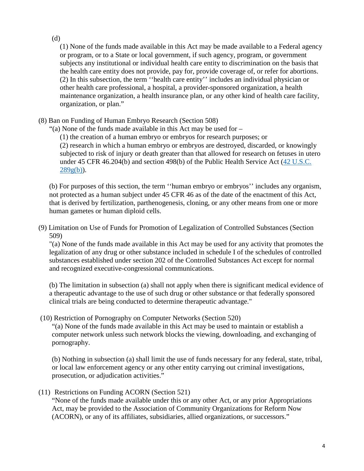## (d)

(1) None of the funds made available in this Act may be made available to a Federal agency or program, or to a State or local government, if such agency, program, or government subjects any institutional or individual health care entity to discrimination on the basis that the health care entity does not provide, pay for, provide coverage of, or refer for abortions. (2) In this subsection, the term ''health care entity'' includes an individual physician or other health care professional, a hospital, a provider-sponsored organization, a health maintenance organization, a health insurance plan, or any other kind of health care facility, organization, or plan."

- (8) Ban on Funding of Human Embryo Research (Section 508)
	- "(a) None of the funds made available in this Act may be used for
		- (1) the creation of a human embryo or embryos for research purposes; or

(2) research in which a human embryo or embryos are destroyed, discarded, or knowingly subjected to risk of injury or death greater than that allowed for research on fetuses in utero under 45 CFR 46.204(b) and section 498(b) of the Public Health Service Act (42 U.S.C.  $289g(b)$ ).

(b) For purposes of this section, the term ''human embryo or embryos'' includes any organism, not protected as a human subject under 45 CFR 46 as of the date of the enactment of this Act, that is derived by fertilization, parthenogenesis, cloning, or any other means from one or more human gametes or human diploid cells.

(9) Limitation on Use of Funds for Promotion of Legalization of Controlled Substances (Section 509)

"(a) None of the funds made available in this Act may be used for any activity that promotes the legalization of any drug or other substance included in schedule I of the schedules of controlled substances established under section 202 of the Controlled Substances Act except for normal and recognized executive-congressional communications.

(b) The limitation in subsection (a) shall not apply when there is significant medical evidence of a therapeutic advantage to the use of such drug or other substance or that federally sponsored clinical trials are being conducted to determine therapeutic advantage."

(10) Restriction of Pornography on Computer Networks (Section 520)

"(a) None of the funds made available in this Act may be used to maintain or establish a computer network unless such network blocks the viewing, downloading, and exchanging of pornography.

(b) Nothing in subsection (a) shall limit the use of funds necessary for any federal, state, tribal, or local law enforcement agency or any other entity carrying out criminal investigations, prosecution, or adjudication activities."

(11) Restrictions on Funding ACORN (Section 521)

"None of the funds made available under this or any other Act, or any prior Appropriations Act, may be provided to the Association of Community Organizations for Reform Now (ACORN), or any of its affiliates, subsidiaries, allied organizations, or successors."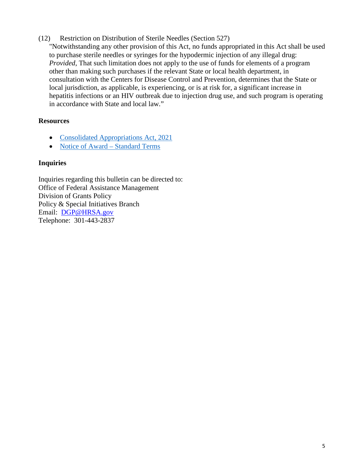## (12) Restriction on Distribution of Sterile Needles (Section 527)

"Notwithstanding any other provision of this Act, no funds appropriated in this Act shall be used to purchase sterile needles or syringes for the hypodermic injection of any illegal drug: *Provided*, That such limitation does not apply to the use of funds for elements of a program other than making such purchases if the relevant State or local health department, in consultation with the Centers for Disease Control and Prevention, determines that the State or local jurisdiction, as applicable, is experiencing, or is at risk for, a significant increase in hepatitis infections or an HIV outbreak due to injection drug use, and such program is operating in accordance with State and local law."

## **Resources**

- [Consolidated Appropriations Act, 2021](file://gss-fs1/shares/OFAM/General/DGP/Policy%20and%20Special%20Initiatives%20Branch/Grants%20Policy%20Bulletins/2021%20GPBs/2021%20Internal/2021-0X%20FY2021%20Legislative%20Mandates/BILLS-116HR133SA-RCP-116-68.pdf)
- Notice of Award – [Standard Terms](https://www.hrsa.gov/grants/standard-terms)

# **Inquiries**

Inquiries regarding this bulletin can be directed to: Office of Federal Assistance Management Division of Grants Policy Policy & Special Initiatives Branch Email: [DGP@HRSA.gov](mailto:DGP@HRSA.gov)  Telephone: 301-443-2837